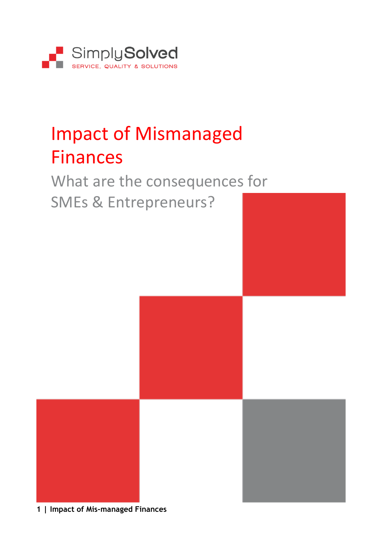

# Impact of Mismanaged Finances

### What are the consequences for SMEs & Entrepreneurs?

**1 | Impact of Mis-managed Finances**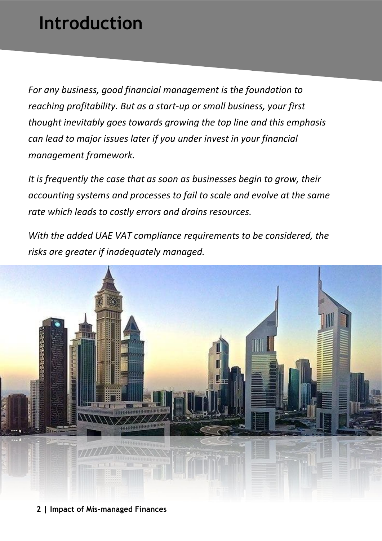## **Introduction**

*For any business, good financial management is the foundation to reaching profitability. But as a start-up or small business, your first thought inevitably goes towards growing the top line and this emphasis can lead to major issues later if you under invest in your financial management framework.*

*It is frequently the case that as soon as businesses begin to grow, their accounting systems and processes to fail to scale and evolve at the same rate which leads to costly errors and drains resources.*

*With the added UAE VAT compliance requirements to be considered, the risks are greater if inadequately managed.*



**2 | Impact of Mis-managed Finances**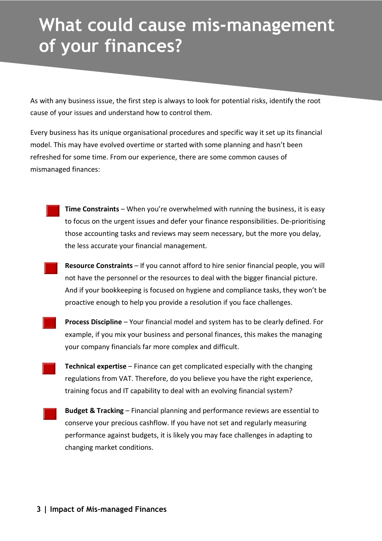## **What could cause mis-management of your finances?**

As with any business issue, the first step is always to look for potential risks, identify the root cause of your issues and understand how to control them.

Every business has its unique organisational procedures and specific way it set up its financial model. This may have evolved overtime or started with some planning and hasn't been refreshed for some time. From our experience, there are some common causes of mismanaged finances:



**Time Constraints** – When you're overwhelmed with running the business, it is easy to focus on the urgent issues and defer your finance responsibilities. De-prioritising those accounting tasks and reviews may seem necessary, but the more you delay, the less accurate your financial management.

**Resource Constraints** – If you cannot afford to hire senior financial people, you will not have the personnel or the resources to deal with the bigger financial picture. And if your bookkeeping is focused on hygiene and compliance tasks, they won't be proactive enough to help you provide a resolution if you face challenges.



-

-

-

**Process Discipline** – Your financial model and system has to be clearly defined. For example, if you mix your business and personal finances, this makes the managing your company financials far more complex and difficult.

**Technical expertise** – Finance can get complicated especially with the changing regulations from VAT. Therefore, do you believe you have the right experience, training focus and IT capability to deal with an evolving financial system?

**Budget & Tracking** – Financial planning and performance reviews are essential to conserve your precious cashflow. If you have not set and regularly measuring performance against budgets, it is likely you may face challenges in adapting to changing market conditions.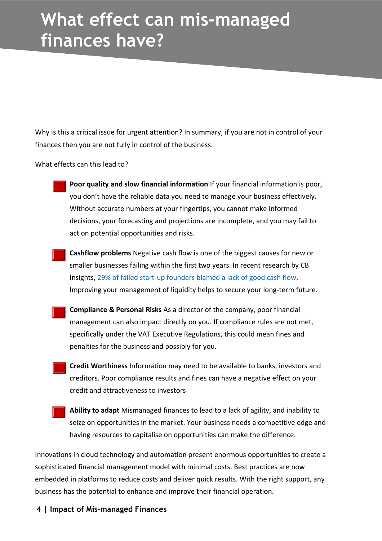### **What effect can mis-managed finances have?**

Why is this a critical issue for urgent attention? In summary, if you are not in control of your finances then you are not fully in control of the business.

What effects can this lead to?

-

-

-

-

-

- **Poor quality and slow financial information** If your financial information is poor, you don't have the reliable data you need to manage your business effectively. Without accurate numbers at your fingertips, you cannot make informed decisions, your forecasting and projections are incomplete, and you may fail to act on potential opportunities and risks.
- **Cashflow problems** Negative cash flow is one of the biggest causes for new or smaller businesses failing within the first two years. In recent research by CB Insights, 29% of failed start-up [founders](http://fortune.com/2014/09/25/why-startups-fail-according-to-their-founders/) blamed a lack of good cash flow. Improving your management of liquidity helps to secure your long-term future.
- **Compliance & Personal Risks** As a director of the company, poor financial management can also impact directly on you. If compliance rules are not met, specifically under the VAT Executive Regulations, this could mean fines and penalties for the business and possibly for you.
- **Credit Worthiness** Information may need to be available to banks, investors and creditors. Poor compliance results and fines can have a negative effect on your credit and attractiveness to investors
- **Ability to adapt** Mismanaged finances to lead to a lack of agility, and inability to seize on opportunities in the market. Your business needs a competitive edge and having resources to capitalise on opportunities can make the difference.

Innovations in cloud technology and automation present enormous opportunities to create a sophisticated financial management model with minimal costs. Best practices are now embedded in platforms to reduce costs and deliver quick results. With the right support, any business has the potential to enhance and improve their financial operation.

**4 | Impact of Mis-managed Finances**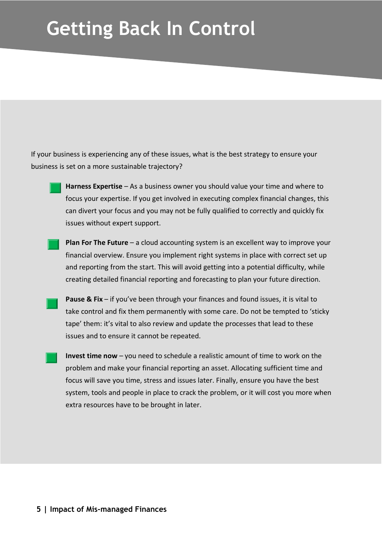## **Getting Back In Control**

If your business is experiencing any of these issues, what is the best strategy to ensure your business is set on a more sustainable trajectory?



**Harness Expertise** – As a business owner you should value your time and where to focus your expertise. If you get involved in executing complex financial changes, this can divert your focus and you may not be fully qualified to correctly and quickly fix issues without expert support.



**Plan For The Future** – a cloud accounting system is an excellent way to improve your financial overview. Ensure you implement right systems in place with correct set up and reporting from the start. This will avoid getting into a potential difficulty, while creating detailed financial reporting and forecasting to plan your future direction.

**Pause & Fix** – if you've been through your finances and found issues, it is vital to take control and fix them permanently with some care. Do not be tempted to 'sticky tape' them: it's vital to also review and update the processes that lead to these issues and to ensure it cannot be repeated.

**Invest time now** – you need to schedule a realistic amount of time to work on the problem and make your financial reporting an asset. Allocating sufficient time and focus will save you time, stress and issues later. Finally, ensure you have the best system, tools and people in place to crack the problem, or it will cost you more when extra resources have to be brought in later.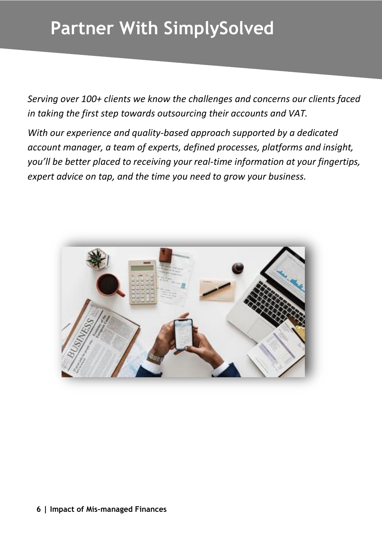## **Partner With SimplySolved**

*Serving over 100+ clients we know the challenges and concerns our clients faced in taking the first step towards outsourcing their accounts and VAT.*

*With our experience and quality-based approach supported by a dedicated account manager, a team of experts, defined processes, platforms and insight, you'll be better placed to receiving your real-time information at your fingertips, expert advice on tap, and the time you need to grow your business.*